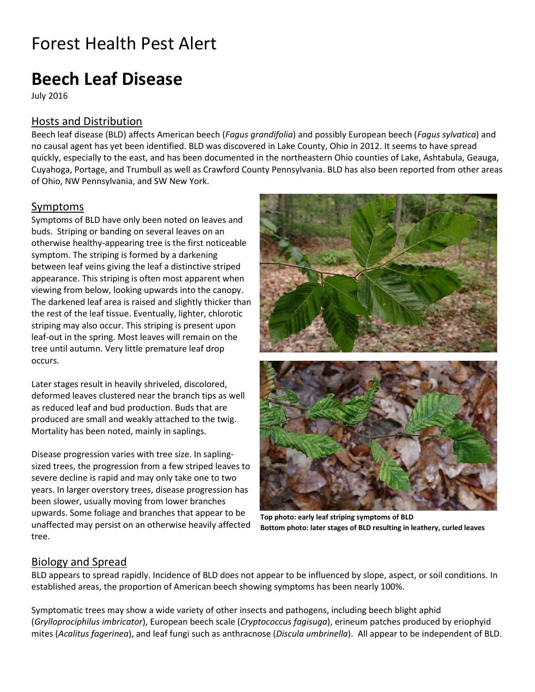# Forest Health Pest Alert

## **Beech Leaf Disease**

July 2016

## Hosts and Distribution

Beech leaf disease (BLD) affects American beech (*Fagus grandifolia*) and possibly European beech (*Fagus sylvatica*) and no causal agent has yet been identified. BLD was discovered in Lake County, Ohio in 2012. It seems to have spread quickly, especially to the east, and has been documented in the northeastern Ohio counties of Lake, Ashtabula, Geauga, Cuyahoga, Portage, and Trumbull as well as Crawford County Pennsylvania. BLD has also been reported from other areas of Ohio, NW Pennsylvania, and SW New York.

### Symptoms

Symptoms of BLD have only been noted on leaves and buds. Striping or banding on several leaves on an otherwise healthy-appearing tree is the first noticeable symptom. The striping is formed by a darkening between leaf veins giving the leaf a distinctive striped appearance. This striping is often most apparent when viewing from below, looking upwards into the canopy. The darkened leaf area is raised and slightly thicker than the rest of the leaf tissue. Eventually, lighter, chlorotic striping may also occur. This striping is present upon leaf-out in the spring. Most leaves will remain on the tree until autumn. Very little premature leaf drop occurs.

Later stages result in heavily shriveled, discolored, deformed leaves clustered near the branch tips as well as reduced leaf and bud production. Buds that are produced are small and weakly attached to the twig. Mortality has been noted, mainly in saplings.

Disease progression varies with tree size. In saplingsized trees, the progression from a few striped leaves to severe decline is rapid and may only take one to two years. In larger overstory trees, disease progression has been slower, usually moving from lower branches upwards. Some foliage and branches that appear to be unaffected may persist on an otherwise heavily affected tree.



**Top photo: early leaf striping symptoms of BLD Bottom photo: later stages of BLD resulting in leathery, curled leaves**

### Biology and Spread

BLD appears to spread rapidly. Incidence of BLD does not appear to be influenced by slope, aspect, or soil conditions. In established areas, the proportion of American beech showing symptoms has been nearly 100%.

Symptomatic trees may show a wide variety of other insects and pathogens, including beech blight aphid (*Grylloprociphilus imbricator*), European beech scale (*Cryptococcus fagisuga*), erineum patches produced by eriophyid mites (*Acalitus fagerinea*), and leaf fungi such as anthracnose (*Discula umbrinella*). All appear to be independent of BLD.